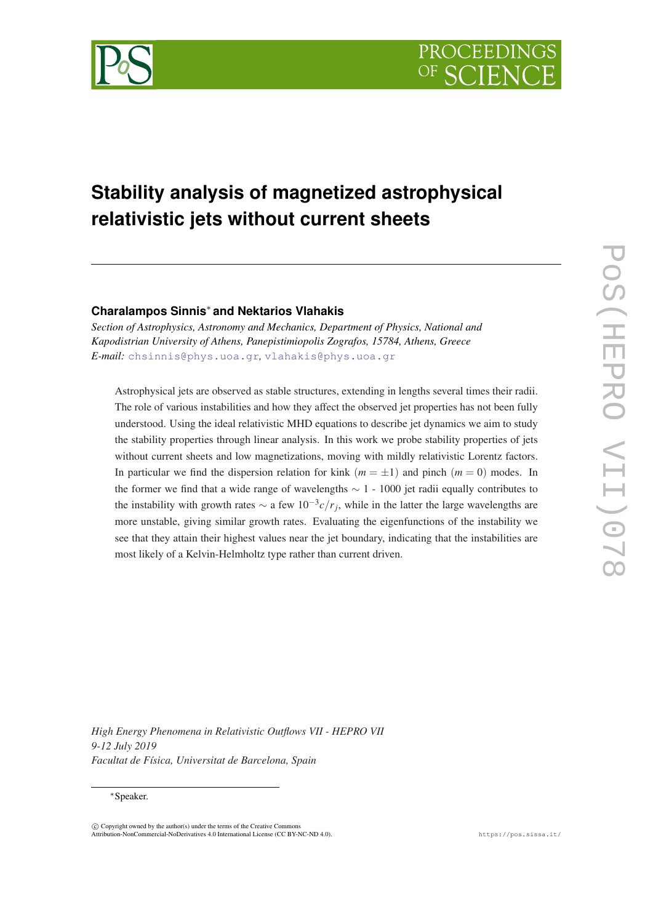

# **Stability analysis of magnetized astrophysical relativistic jets without current sheets**

# **Charalampos Sinnis**<sup>∗</sup> **and Nektarios Vlahakis**

*Section of Astrophysics, Astronomy and Mechanics, Department of Physics, National and Kapodistrian University of Athens, Panepistimiopolis Zografos, 15784, Athens, Greece E-mail:* [chsinnis@phys.uoa.gr](mailto:chsinnis@phys.uoa.gr)*,* [vlahakis@phys.uoa.gr](mailto:vlahakis@phys.uoa.gr)

Astrophysical jets are observed as stable structures, extending in lengths several times their radii. The role of various instabilities and how they affect the observed jet properties has not been fully understood. Using the ideal relativistic MHD equations to describe jet dynamics we aim to study the stability properties through linear analysis. In this work we probe stability properties of jets without current sheets and low magnetizations, moving with mildly relativistic Lorentz factors. In particular we find the dispersion relation for kink  $(m = \pm 1)$  and pinch  $(m = 0)$  modes. In the former we find that a wide range of wavelengths ∼ 1 - 1000 jet radii equally contributes to the instability with growth rates  $\sim$  a few  $10^{-3}c/r_j$ , while in the latter the large wavelengths are more unstable, giving similar growth rates. Evaluating the eigenfunctions of the instability we see that they attain their highest values near the jet boundary, indicating that the instabilities are most likely of a Kelvin-Helmholtz type rather than current driven.

*High Energy Phenomena in Relativistic Outflows VII - HEPRO VII 9-12 July 2019 Facultat de Física, Universitat de Barcelona, Spain*

## <sup>∗</sup>Speaker.

 $\overline{c}$  Copyright owned by the author(s) under the terms of the Creative Common Attribution-NonCommercial-NoDerivatives 4.0 International License (CC BY-NC-ND 4.0). https://pos.sissa.it/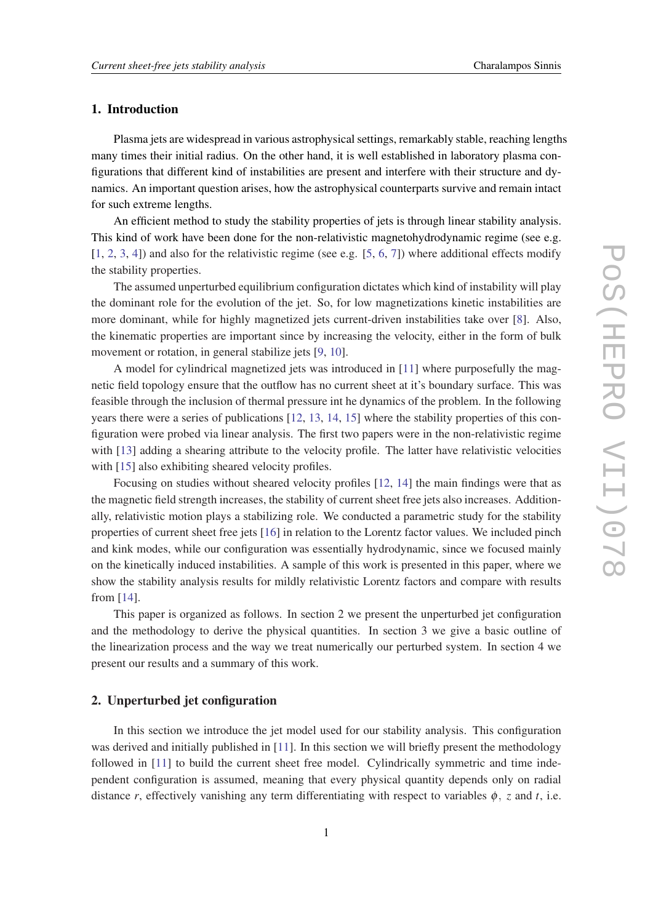## 1. Introduction

Plasma jets are widespread in various astrophysical settings, remarkably stable, reaching lengths many times their initial radius. On the other hand, it is well established in laboratory plasma configurations that different kind of instabilities are present and interfere with their structure and dynamics. An important question arises, how the astrophysical counterparts survive and remain intact for such extreme lengths.

An efficient method to study the stability properties of jets is through linear stability analysis. This kind of work have been done for the non-relativistic magnetohydrodynamic regime (see e.g.  $[1, 2, 3, 4]$  $[1, 2, 3, 4]$  $[1, 2, 3, 4]$  $[1, 2, 3, 4]$  $[1, 2, 3, 4]$  $[1, 2, 3, 4]$  $[1, 2, 3, 4]$  $[1, 2, 3, 4]$  $[1, 2, 3, 4]$  and also for the relativistic regime (see e.g.  $[5, 6, 7]$  $[5, 6, 7]$  $[5, 6, 7]$  $[5, 6, 7]$  $[5, 6, 7]$ ) where additional effects modify the stability properties.

The assumed unperturbed equilibrium configuration dictates which kind of instability will play the dominant role for the evolution of the jet. So, for low magnetizations kinetic instabilities are more dominant, while for highly magnetized jets current-driven instabilities take over [\[8\]](#page-8-0). Also, the kinematic properties are important since by increasing the velocity, either in the form of bulk movement or rotation, in general stabilize jets [[9](#page-8-0), [10](#page-8-0)].

A model for cylindrical magnetized jets was introduced in [\[11](#page-8-0)] where purposefully the magnetic field topology ensure that the outflow has no current sheet at it's boundary surface. This was feasible through the inclusion of thermal pressure int he dynamics of the problem. In the following years there were a series of publications [\[12,](#page-8-0) [13](#page-8-0), [14,](#page-8-0) [15](#page-8-0)] where the stability properties of this configuration were probed via linear analysis. The first two papers were in the non-relativistic regime with [[13\]](#page-8-0) adding a shearing attribute to the velocity profile. The latter have relativistic velocities with [\[15](#page-8-0)] also exhibiting sheared velocity profiles.

Focusing on studies without sheared velocity profiles [[12,](#page-8-0) [14](#page-8-0)] the main findings were that as the magnetic field strength increases, the stability of current sheet free jets also increases. Additionally, relativistic motion plays a stabilizing role. We conducted a parametric study for the stability properties of current sheet free jets [[16\]](#page-8-0) in relation to the Lorentz factor values. We included pinch and kink modes, while our configuration was essentially hydrodynamic, since we focused mainly on the kinetically induced instabilities. A sample of this work is presented in this paper, where we show the stability analysis results for mildly relativistic Lorentz factors and compare with results from [[14\]](#page-8-0).

This paper is organized as follows. In section 2 we present the unperturbed jet configuration and the methodology to derive the physical quantities. In section 3 we give a basic outline of the linearization process and the way we treat numerically our perturbed system. In section 4 we present our results and a summary of this work.

## 2. Unperturbed jet configuration

In this section we introduce the jet model used for our stability analysis. This configuration was derived and initially published in [\[11](#page-8-0)]. In this section we will briefly present the methodology followed in [[11\]](#page-8-0) to build the current sheet free model. Cylindrically symmetric and time independent configuration is assumed, meaning that every physical quantity depends only on radial distance *r*, effectively vanishing any term differentiating with respect to variables  $\phi$ , *z* and *t*, i.e.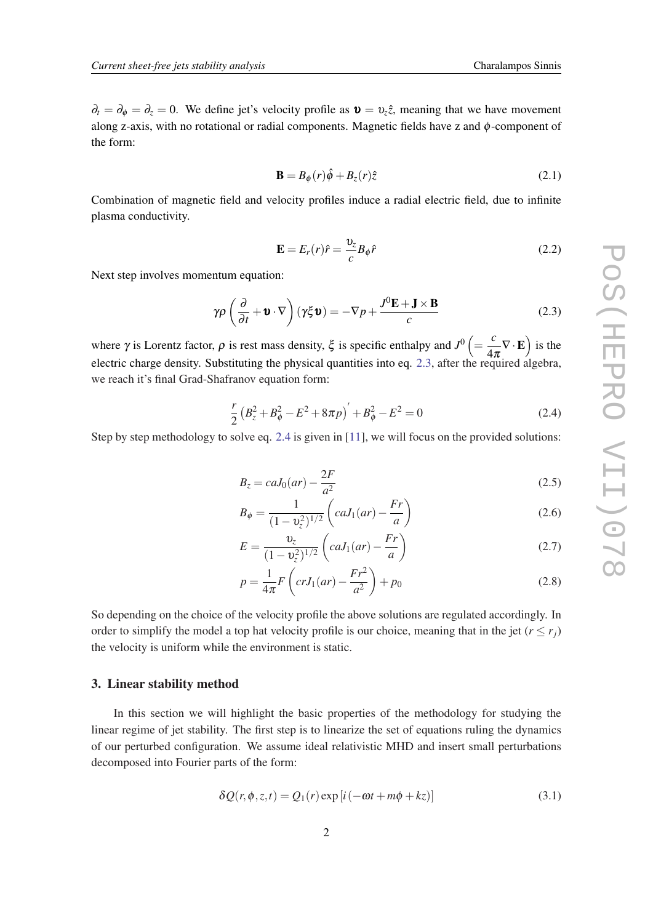<span id="page-2-0"></span> $\partial_t = \partial_\phi = \partial_z = 0$ . We define jet's velocity profile as  $\mathbf{v} = v_z \hat{z}$ , meaning that we have movement along z-axis, with no rotational or radial components. Magnetic fields have z and  $\phi$ -component of the form:

$$
\mathbf{B} = B_{\phi}(r)\hat{\phi} + B_{z}(r)\hat{z}
$$
 (2.1)

Combination of magnetic field and velocity profiles induce a radial electric field, due to infinite plasma conductivity.

$$
\mathbf{E} = E_r(r)\hat{r} = \frac{v_z}{c}B_\phi \hat{r}
$$
\n(2.2)

Next step involves momentum equation:

$$
\gamma \rho \left( \frac{\partial}{\partial t} + \mathbf{v} \cdot \nabla \right) (\gamma \xi \mathbf{v}) = -\nabla p + \frac{J^0 \mathbf{E} + \mathbf{J} \times \mathbf{B}}{c}
$$
(2.3)

where  $\gamma$  is Lorentz factor,  $\rho$  is rest mass density,  $\xi$  is specific enthalpy and  $J^0 = \frac{c}{\lambda}$  $\left(\frac{c}{4\pi}\nabla\cdot\mathbf{E}\right)$  is the electric charge density. Substituting the physical quantities into eq. 2.3, after the required algebra, we reach it's final Grad-Shafranov equation form:

$$
\frac{r}{2} \left( B_z^2 + B_\phi^2 - E^2 + 8\pi p \right)' + B_\phi^2 - E^2 = 0 \tag{2.4}
$$

Step by step methodology to solve eq. 2.4 is given in [\[11](#page-8-0)], we will focus on the provided solutions:

$$
B_z = caJ_0(ar) - \frac{2F}{a^2} \tag{2.5}
$$

$$
B_{\phi} = \frac{1}{(1 - \nu_z^2)^{1/2}} \left( caJ_1(ar) - \frac{Fr}{a} \right)
$$
 (2.6)

$$
E = \frac{v_z}{(1 - v_z^2)^{1/2}} \left( caJ_1(ar) - \frac{Fr}{a} \right)
$$
 (2.7)

$$
p = \frac{1}{4\pi} F\left( crJ_1(ar) - \frac{Fr^2}{a^2} \right) + p_0
$$
 (2.8)

So depending on the choice of the velocity profile the above solutions are regulated accordingly. In order to simplify the model a top hat velocity profile is our choice, meaning that in the jet  $(r \le r_i)$ the velocity is uniform while the environment is static.

#### 3. Linear stability method

In this section we will highlight the basic properties of the methodology for studying the linear regime of jet stability. The first step is to linearize the set of equations ruling the dynamics of our perturbed configuration. We assume ideal relativistic MHD and insert small perturbations decomposed into Fourier parts of the form:

$$
\delta Q(r, \phi, z, t) = Q_1(r) \exp[i(-\omega t + m\phi + kz)] \tag{3.1}
$$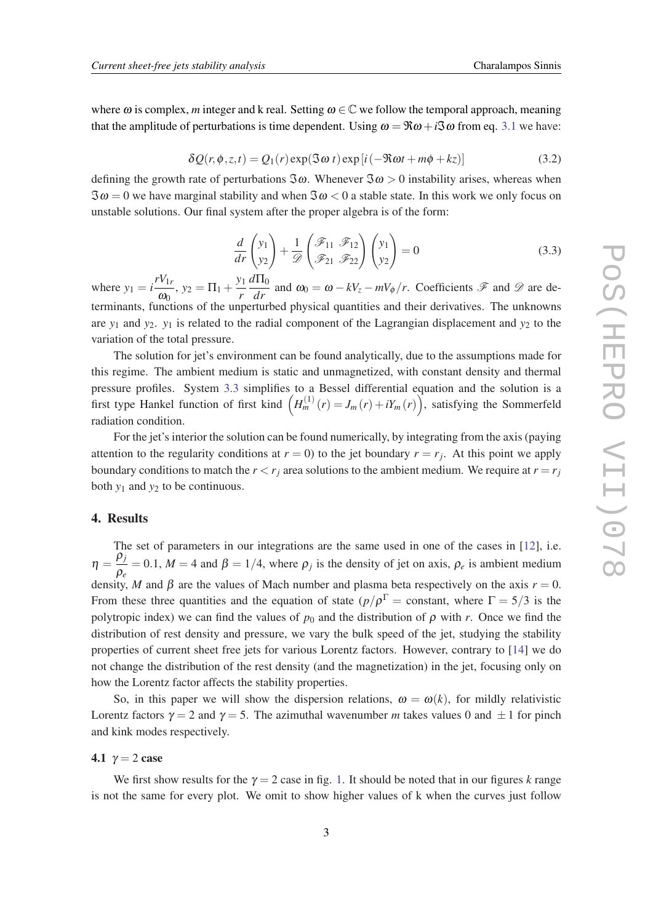<span id="page-3-0"></span>where  $\omega$  is complex, *m* integer and k real. Setting  $\omega \in \mathbb{C}$  we follow the temporal approach, meaning that the amplitude of perturbations is time dependent. Using  $\omega = \Re \omega + i \Im \omega$  from eq. [3.1](#page-2-0) we have:

$$
\delta Q(r, \phi, z, t) = Q_1(r) \exp(3\omega t) \exp[i(-\Re\omega t + m\phi + kz)] \tag{3.2}
$$

defining the growth rate of perturbations  $\Im \omega$ . Whenever  $\Im \omega > 0$  instability arises, whereas when  $\Im \omega = 0$  we have marginal stability and when  $\Im \omega < 0$  a stable state. In this work we only focus on unstable solutions. Our final system after the proper algebra is of the form:

$$
\frac{d}{dr}\begin{pmatrix}y_1\\y_2\end{pmatrix} + \frac{1}{\mathcal{D}}\begin{pmatrix}\mathcal{F}_{11} & \mathcal{F}_{12}\\ \mathcal{F}_{21} & \mathcal{F}_{22}\end{pmatrix}\begin{pmatrix}y_1\\y_2\end{pmatrix} = 0
$$
\n(3.3)

where  $y_1 = i \frac{rV_{1r}}{r}$  $\frac{y_{1r}}{\omega_0}$ ,  $y_2 = \Pi_1 + \frac{y_1}{r}$ *r*  $d\Pi_0$  $\frac{d^2H_0}{dr}$  and  $\omega_0 = \omega - kV_z - mV_\phi/r$ . Coefficients  $\mathscr F$  and  $\mathscr D$  are determinants, functions of the unperturbed physical quantities and their derivatives. The unknowns are  $y_1$  and  $y_2$ .  $y_1$  is related to the radial component of the Lagrangian displacement and  $y_2$  to the variation of the total pressure.

The solution for jet's environment can be found analytically, due to the assumptions made for this regime. The ambient medium is static and unmagnetized, with constant density and thermal pressure profiles. System 3.3 simplifies to a Bessel differential equation and the solution is a first type Hankel function of first kind  $(H_m^{(1)}(r) = J_m(r) + iY_m(r))$ , satisfying the Sommerfeld radiation condition.

For the jet's interior the solution can be found numerically, by integrating from the axis (paying attention to the regularity conditions at  $r = 0$ ) to the jet boundary  $r = r_j$ . At this point we apply boundary conditions to match the  $r < r_j$  area solutions to the ambient medium. We require at  $r = r_j$ both  $y_1$  and  $y_2$  to be continuous.

#### 4. Results

The set of parameters in our integrations are the same used in one of the cases in [\[12](#page-8-0)], i.e.  $\eta = \frac{\rho_j}{2}$  $\frac{\rho}{\rho_e}$  = 0.1, *M* = 4 and  $\beta$  = 1/4, where  $\rho_j$  is the density of jet on axis,  $\rho_e$  is ambient medium density, *M* and  $\beta$  are the values of Mach number and plasma beta respectively on the axis  $r = 0$ . From these three quantities and the equation of state  $(p/\rho^{\Gamma} = \text{constant},$  where  $\Gamma = 5/3$  is the polytropic index) we can find the values of  $p_0$  and the distribution of  $\rho$  with *r*. Once we find the distribution of rest density and pressure, we vary the bulk speed of the jet, studying the stability properties of current sheet free jets for various Lorentz factors. However, contrary to [\[14](#page-8-0)] we do not change the distribution of the rest density (and the magnetization) in the jet, focusing only on how the Lorentz factor affects the stability properties.

So, in this paper we will show the dispersion relations,  $\omega = \omega(k)$ , for mildly relativistic Lorentz factors  $\gamma = 2$  and  $\gamma = 5$ . The azimuthal wavenumber *m* takes values 0 and  $\pm 1$  for pinch and kink modes respectively.

4.1  $\gamma = 2$  case

We first show results for the  $\gamma = 2$  case in fig. [1.](#page-4-0) It should be noted that in our figures *k* range is not the same for every plot. We omit to show higher values of k when the curves just follow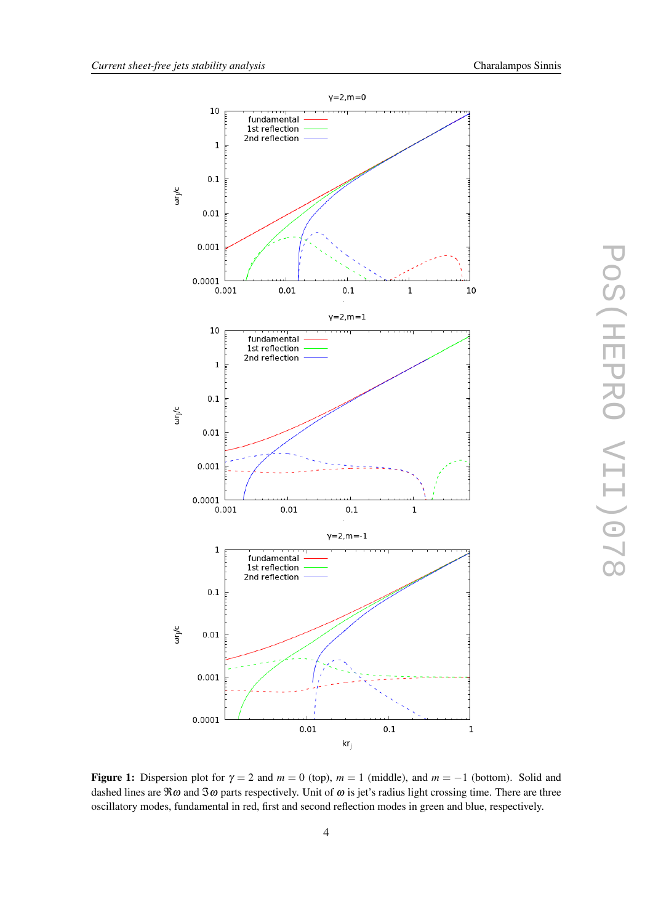<span id="page-4-0"></span>

Figure 1: Dispersion plot for  $\gamma = 2$  and  $m = 0$  (top),  $m = 1$  (middle), and  $m = -1$  (bottom). Solid and dashed lines are  $\Re\omega$  and  $\Im\omega$  parts respectively. Unit of  $\omega$  is jet's radius light crossing time. There are three oscillatory modes, fundamental in red, first and second reflection modes in green and blue, respectively.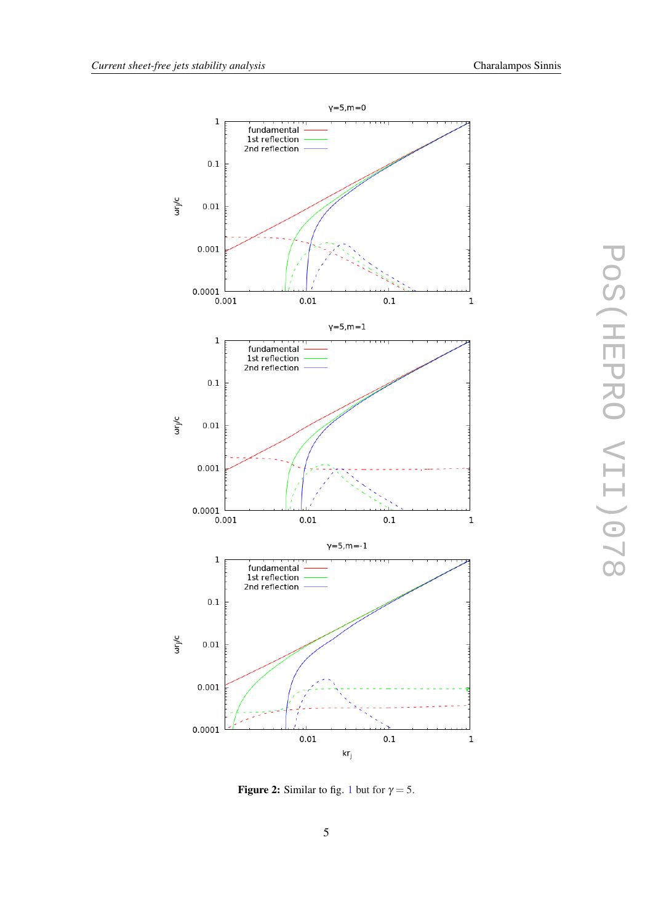<span id="page-5-0"></span>

Figure 2: Similar to fig. [1](#page-4-0) but for  $\gamma = 5$ .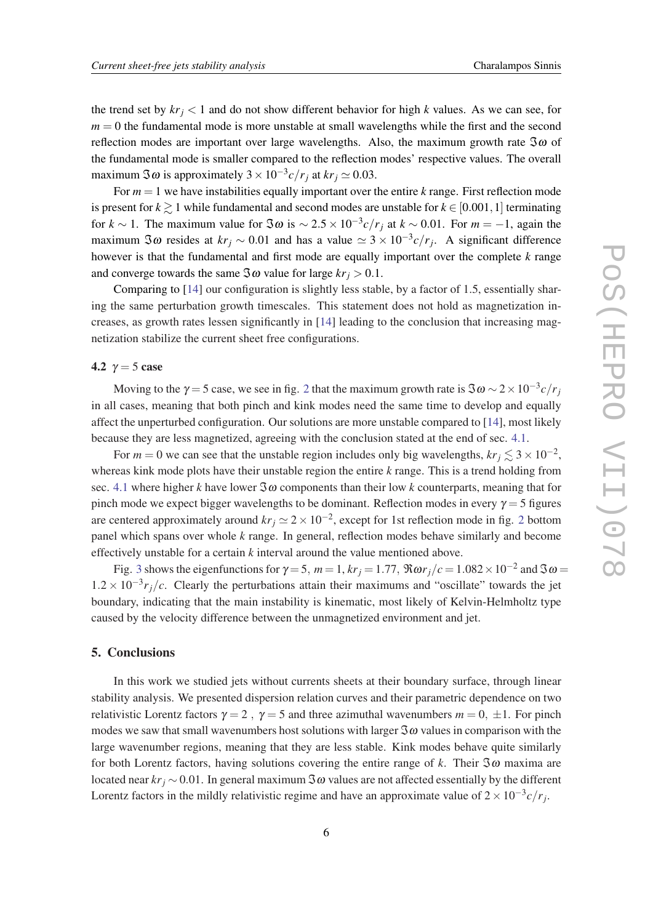the trend set by  $kr_j < 1$  and do not show different behavior for high *k* values. As we can see, for  $m = 0$  the fundamental mode is more unstable at small wavelengths while the first and the second reflection modes are important over large wavelengths. Also, the maximum growth rate  $\Im \omega$  of the fundamental mode is smaller compared to the reflection modes' respective values. The overall maximum  $\Im \omega$  is approximately  $3 \times 10^{-3} c/r_j$  at  $kr_j \simeq 0.03$ .

For  $m = 1$  we have instabilities equally important over the entire  $k$  range. First reflection mode is present for  $k \ge 1$  while fundamental and second modes are unstable for  $k \in [0.001, 1]$  terminating for *k* ~ 1. The maximum value for  $\Im \omega$  is ~  $2.5 \times 10^{-3} c/r_j$  at *k* ~ 0.01. For  $m = -1$ , again the maximum  $\Im \omega$  resides at  $kr_j \sim 0.01$  and has a value  $\simeq 3 \times 10^{-3} c/r_j$ . A significant difference however is that the fundamental and first mode are equally important over the complete *k* range and converge towards the same  $\Im \omega$  value for large  $kr_j > 0.1$ .

Comparing to [\[14](#page-8-0)] our configuration is slightly less stable, by a factor of 1.5, essentially sharing the same perturbation growth timescales. This statement does not hold as magnetization increases, as growth rates lessen significantly in [[14\]](#page-8-0) leading to the conclusion that increasing magnetization stabilize the current sheet free configurations.

## 4.2  $\gamma = 5$  case

Moving to the  $\gamma = 5$  case, we see in fig. [2](#page-5-0) that the maximum growth rate is  $\Im \omega \sim 2 \times 10^{-3} c/r_j$ in all cases, meaning that both pinch and kink modes need the same time to develop and equally affect the unperturbed configuration. Our solutions are more unstable compared to [\[14](#page-8-0)], most likely because they are less magnetized, agreeing with the conclusion stated at the end of sec. [4.1](#page-3-0).

For  $m = 0$  we can see that the unstable region includes only big wavelengths,  $kr_j \lesssim 3 \times 10^{-2}$ , whereas kink mode plots have their unstable region the entire *k* range. This is a trend holding from sec. [4.1](#page-3-0) where higher *k* have lower  $\Im \omega$  components than their low *k* counterparts, meaning that for pinch mode we expect bigger wavelengths to be dominant. Reflection modes in every  $\gamma = 5$  figures are centered approximately around  $kr_j \approx 2 \times 10^{-2}$  $kr_j \approx 2 \times 10^{-2}$  $kr_j \approx 2 \times 10^{-2}$ , except for 1st reflection mode in fig. 2 bottom panel which spans over whole *k* range. In general, reflection modes behave similarly and become effectively unstable for a certain *k* interval around the value mentioned above.

Fig. [3](#page-7-0) shows the eigenfunctions for  $\gamma = 5$ ,  $m = 1$ ,  $kr_j = 1.77$ ,  $\Re \omega r_j/c = 1.082 \times 10^{-2}$  and  $\Im \omega =$  $1.2 \times 10^{-3} r_j/c$ . Clearly the perturbations attain their maximums and "oscillate" towards the jet boundary, indicating that the main instability is kinematic, most likely of Kelvin-Helmholtz type caused by the velocity difference between the unmagnetized environment and jet.

# 5. Conclusions

In this work we studied jets without currents sheets at their boundary surface, through linear stability analysis. We presented dispersion relation curves and their parametric dependence on two relativistic Lorentz factors  $\gamma = 2$ ,  $\gamma = 5$  and three azimuthal wavenumbers  $m = 0, \pm 1$ . For pinch modes we saw that small wavenumbers host solutions with larger  $\Im \omega$  values in comparison with the large wavenumber regions, meaning that they are less stable. Kink modes behave quite similarly for both Lorentz factors, having solutions covering the entire range of k. Their  $\Im \omega$  maxima are located near  $kr_j \sim 0.01$ . In general maximum  $\Im \omega$  values are not affected essentially by the different Lorentz factors in the mildly relativistic regime and have an approximate value of  $2 \times 10^{-3} c/r_j$ .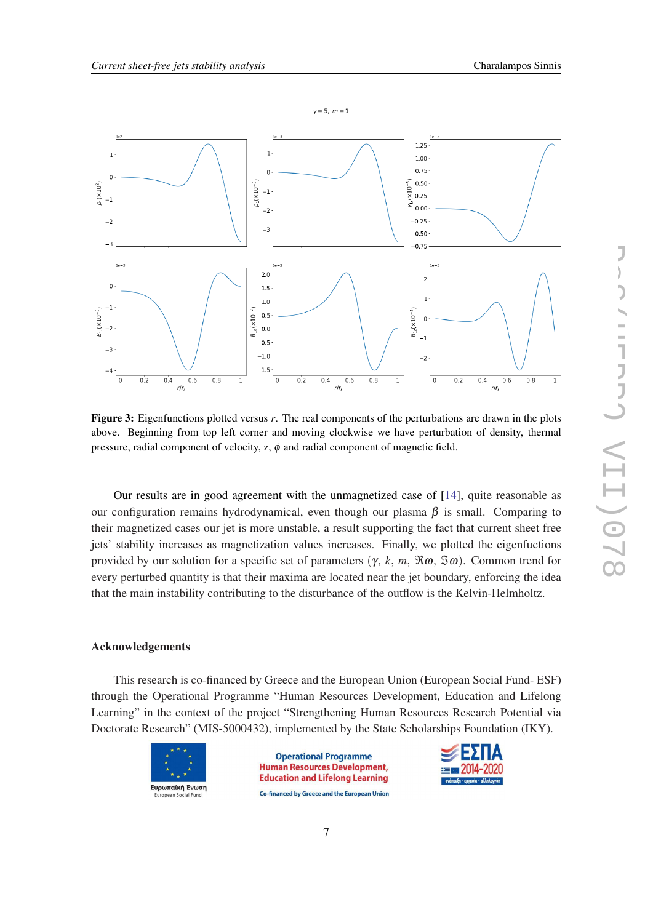<span id="page-7-0"></span>

Figure 3: Eigenfunctions plotted versus *r*. The real components of the perturbations are drawn in the plots above. Beginning from top left corner and moving clockwise we have perturbation of density, thermal pressure, radial component of velocity,  $z$ ,  $\phi$  and radial component of magnetic field.

Our results are in good agreement with the unmagnetized case of [\[14](#page-8-0)], quite reasonable as our configuration remains hydrodynamical, even though our plasma  $\beta$  is small. Comparing to their magnetized cases our jet is more unstable, a result supporting the fact that current sheet free jets' stability increases as magnetization values increases. Finally, we plotted the eigenfuctions provided by our solution for a specific set of parameters (γ, *k*, *m*, ℜω, ℑω). Common trend for every perturbed quantity is that their maxima are located near the jet boundary, enforcing the idea that the main instability contributing to the disturbance of the outflow is the Kelvin-Helmholtz.

#### Acknowledgements

This research is co-financed by Greece and the European Union (European Social Fund- ESF) through the Operational Programme "Human Resources Development, Education and Lifelong Learning" in the context of the project "Strengthening Human Resources Research Potential via Doctorate Research" (MIS-5000432), implemented by the State Scholarships Foundation (IKY).



**Operational Programme Human Resources Development, Education and Lifelong Learning** Co-financed by Greece and the European Union